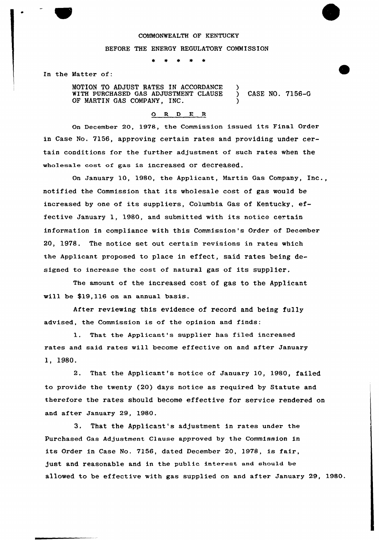## COMMONWEALTH OF KENTUCKY

#### BEFORE THE ENERGY REGULATORY COMMISSION

In the Matter of:

MOTION TO ADJUST RATES IN ACCORDANCE WITH PURCHASED GAS ADJUSTMENT CLAUSE ) CASE NO. 7156-G OF MARTIN GAS COMPANY, INC.

#### O R D E R

On December 20, 1978, the Commission issued its Final Order in Case No. 7156, approving certain rates and providing under certain conditions for the further adjustment of such rates when the wholesale cost of gas is increased or decreased.

On January 10, 1980, the Applicant, Martin Gas Company, Inc., notified the Commission that its wholesale cost of gas would be increased by one of its suppliers, Columbia Gas of Kentucky, effective January 1, 1980, and submitted with its notice certain information in compliance with this Commission's Order of December 20, 1978. The notice set out certain revisions in rates which the Applicant proposed to place in effect, said rates being designed to increase the cost of natural gas of its supplier.

The amount of the increased cost of gas to the Applicant will be \$19,116 on an annual basis,

After reviewing this evidence of record and being fully advised, the Commission is of the opinion and finds:

1. That the Applicant's supplier has filed increased rates and said rates will become effective on and after January 1, 1980.

2. That the Applicant's notice of January 10, 1980, failed to provide the twenty (20) days notice as required by Statute and therefore the rates should become effective for service rendered on and after January 29, 1980.

3. That the Applicant's adjustment in rates under the Purchased Gas Adjustment Clause approved by the Commission in its Order in Case No. 7156, dated December 20, 1978, is fair, just and reasonable and in the public interest and should be allowed to be effective with gas supplied on and after January 29, 1980.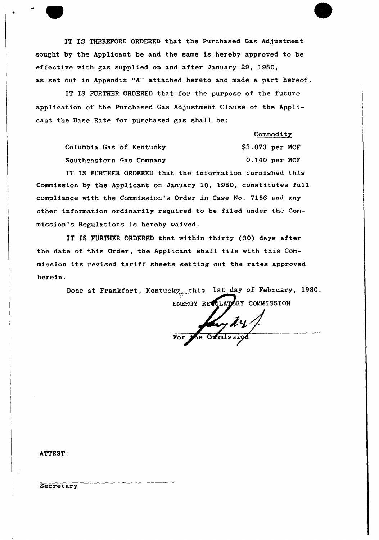IT IS THEREFORE ORDERED that the Purchased Gas Adjustment sought by the Applicant be and the same is hereby approved to be effective with gas supplied on and after January 29, 1980, as set out in Appendix "A" attached hereto and made a part hereof.

IT IS FURTHER ORDERED that for the purpose of the future application of the Purchased Gas Adjustment Clause of the Applicant the Base Rate for purchased gas shall be:

**Commodity** 

Columbia Gas of Kentucky Southeastern Gas Company \$3.073 per MCF 0.140 per MCF

IT IS FURTHER ORDERED that the information furnished this Commission by the Applicant on January 10, 1980, constitutes full compliance with the Commission's Order in Case No. 7156 and any other information ordinarily required to be filed under the Commission's Regulations is hereby waived.

IT IS FURTHER ORDERED that within thirty (30) days after the date of this Order, the Applicant shall file with this Commission its revised tariff sheets setting out the rates approved herein.

> Done at Frankfort, Kentucky<sub>d</sub>.this 1st day of February, 1980. ENERGY REQULATORY COMMISSION

4 For the Commiss

ATTEST:

Secretary